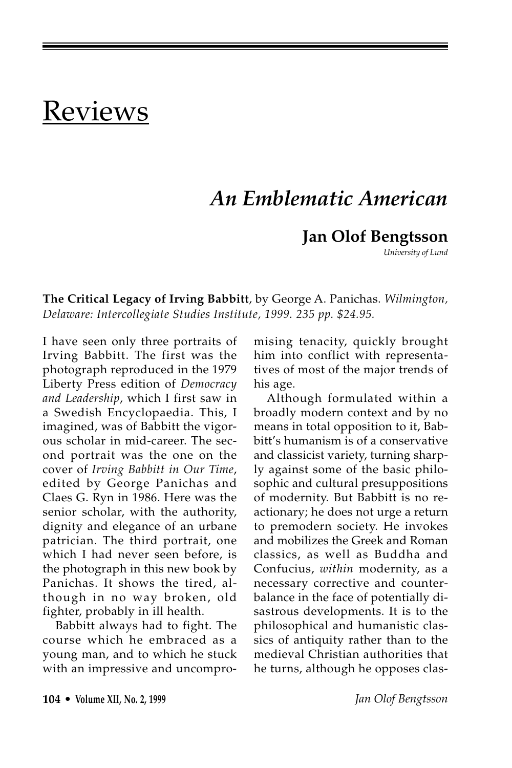## Reviews

### *An Emblematic American*

#### **Jan Olof Bengtsson**

*University of Lund*

**The Critical Legacy of Irving Babbitt**, by George A. Panichas. *Wilmington, Delaware: Intercollegiate Studies Institute, 1999. 235 pp. \$24.95.*

I have seen only three portraits of Irving Babbitt. The first was the photograph reproduced in the 1979 Liberty Press edition of *Democracy and Leadership*, which I first saw in a Swedish Encyclopaedia. This, I imagined, was of Babbitt the vigorous scholar in mid-career. The second portrait was the one on the cover of *Irving Babbitt in Our Time*, edited by George Panichas and Claes G. Ryn in 1986. Here was the senior scholar, with the authority, dignity and elegance of an urbane patrician. The third portrait, one which I had never seen before, is the photograph in this new book by Panichas. It shows the tired, although in no way broken, old fighter, probably in ill health.

Babbitt always had to fight. The course which he embraced as a young man, and to which he stuck with an impressive and uncompromising tenacity, quickly brought him into conflict with representatives of most of the major trends of his age.

Although formulated within a broadly modern context and by no means in total opposition to it, Babbitt's humanism is of a conservative and classicist variety, turning sharply against some of the basic philosophic and cultural presuppositions of modernity. But Babbitt is no reactionary; he does not urge a return to premodern society. He invokes and mobilizes the Greek and Roman classics, as well as Buddha and Confucius, *within* modernity, as a necessary corrective and counterbalance in the face of potentially disastrous developments. It is to the philosophical and humanistic classics of antiquity rather than to the medieval Christian authorities that he turns, although he opposes clas-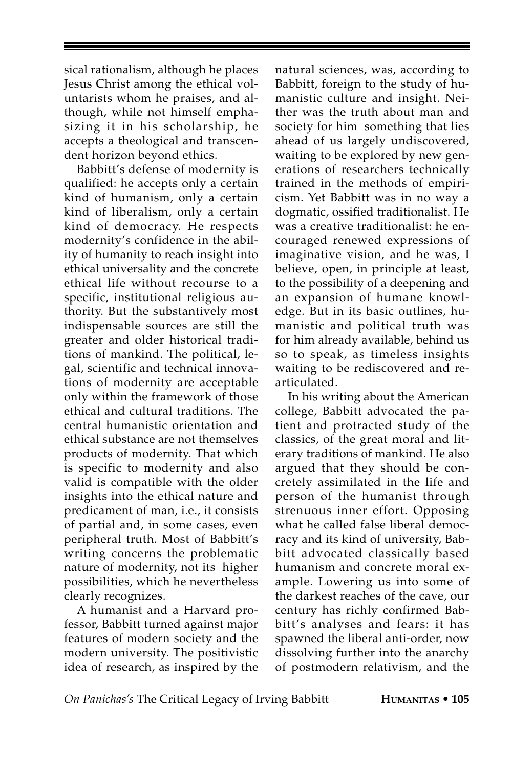sical rationalism, although he places Jesus Christ among the ethical voluntarists whom he praises, and although, while not himself emphasizing it in his scholarship, he accepts a theological and transcendent horizon beyond ethics.

Babbitt's defense of modernity is qualified: he accepts only a certain kind of humanism, only a certain kind of liberalism, only a certain kind of democracy. He respects modernity's confidence in the ability of humanity to reach insight into ethical universality and the concrete ethical life without recourse to a specific, institutional religious authority. But the substantively most indispensable sources are still the greater and older historical traditions of mankind. The political, legal, scientific and technical innovations of modernity are acceptable only within the framework of those ethical and cultural traditions. The central humanistic orientation and ethical substance are not themselves products of modernity. That which is specific to modernity and also valid is compatible with the older insights into the ethical nature and predicament of man, i.e., it consists of partial and, in some cases, even peripheral truth. Most of Babbitt's writing concerns the problematic nature of modernity, not its higher possibilities, which he nevertheless clearly recognizes.

A humanist and a Harvard professor, Babbitt turned against major features of modern society and the modern university. The positivistic idea of research, as inspired by the

natural sciences, was, according to Babbitt, foreign to the study of humanistic culture and insight. Neither was the truth about man and society for him something that lies ahead of us largely undiscovered, waiting to be explored by new generations of researchers technically trained in the methods of empiricism. Yet Babbitt was in no way a dogmatic, ossified traditionalist. He was a creative traditionalist: he encouraged renewed expressions of imaginative vision, and he was, I believe, open, in principle at least, to the possibility of a deepening and an expansion of humane knowledge. But in its basic outlines, humanistic and political truth was for him already available, behind us so to speak, as timeless insights waiting to be rediscovered and rearticulated.

In his writing about the American college, Babbitt advocated the patient and protracted study of the classics, of the great moral and literary traditions of mankind. He also argued that they should be concretely assimilated in the life and person of the humanist through strenuous inner effort. Opposing what he called false liberal democracy and its kind of university, Babbitt advocated classically based humanism and concrete moral example. Lowering us into some of the darkest reaches of the cave, our century has richly confirmed Babbitt's analyses and fears: it has spawned the liberal anti-order, now dissolving further into the anarchy of postmodern relativism, and the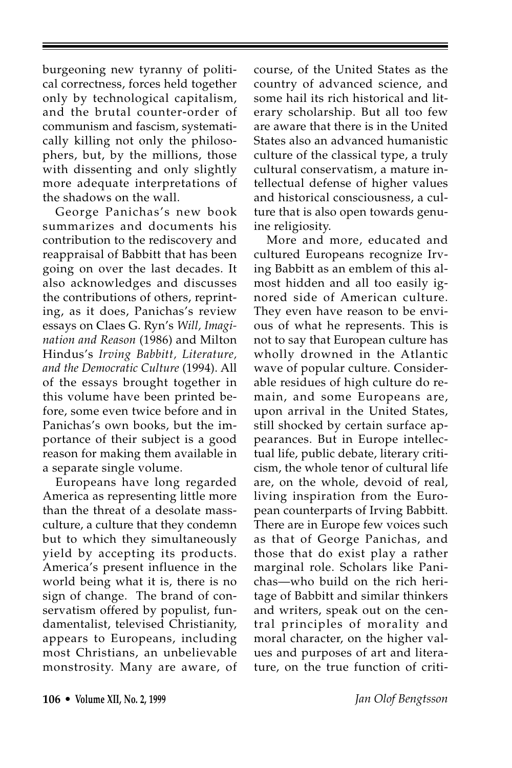burgeoning new tyranny of political correctness, forces held together only by technological capitalism, and the brutal counter-order of communism and fascism, systematically killing not only the philosophers, but, by the millions, those with dissenting and only slightly more adequate interpretations of the shadows on the wall.

George Panichas's new book summarizes and documents his contribution to the rediscovery and reappraisal of Babbitt that has been going on over the last decades. It also acknowledges and discusses the contributions of others, reprinting, as it does, Panichas's review essays on Claes G. Ryn's *Will, Imagination and Reason* (1986) and Milton Hindus's *Irving Babbitt, Literature, and the Democratic Culture* (1994). All of the essays brought together in this volume have been printed before, some even twice before and in Panichas's own books, but the importance of their subject is a good reason for making them available in a separate single volume.

Europeans have long regarded America as representing little more than the threat of a desolate massculture, a culture that they condemn but to which they simultaneously yield by accepting its products. America's present influence in the world being what it is, there is no sign of change. The brand of conservatism offered by populist, fundamentalist, televised Christianity, appears to Europeans, including most Christians, an unbelievable monstrosity. Many are aware, of

course, of the United States as the country of advanced science, and some hail its rich historical and literary scholarship. But all too few are aware that there is in the United States also an advanced humanistic culture of the classical type, a truly cultural conservatism, a mature intellectual defense of higher values and historical consciousness, a culture that is also open towards genuine religiosity.

More and more, educated and cultured Europeans recognize Irving Babbitt as an emblem of this almost hidden and all too easily ignored side of American culture. They even have reason to be envious of what he represents. This is not to say that European culture has wholly drowned in the Atlantic wave of popular culture. Considerable residues of high culture do remain, and some Europeans are, upon arrival in the United States, still shocked by certain surface appearances. But in Europe intellectual life, public debate, literary criticism, the whole tenor of cultural life are, on the whole, devoid of real, living inspiration from the European counterparts of Irving Babbitt. There are in Europe few voices such as that of George Panichas, and those that do exist play a rather marginal role. Scholars like Panichas—who build on the rich heritage of Babbitt and similar thinkers and writers, speak out on the central principles of morality and moral character, on the higher values and purposes of art and literature, on the true function of criti-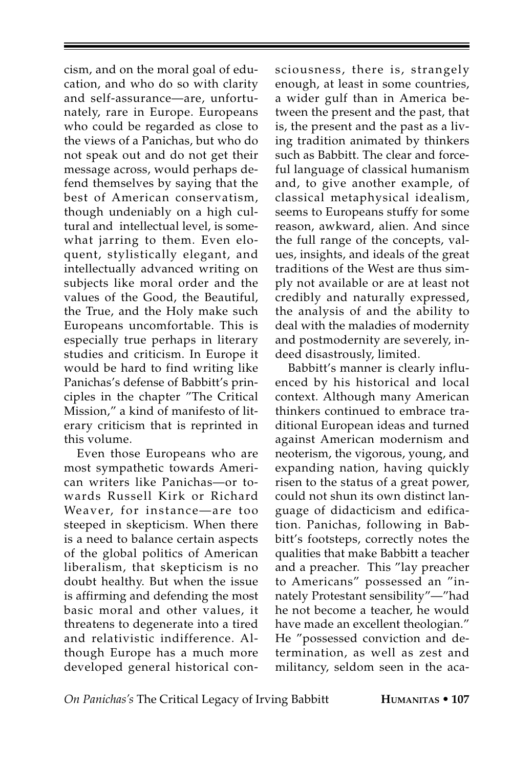cism, and on the moral goal of education, and who do so with clarity and self-assurance—are, unfortunately, rare in Europe. Europeans who could be regarded as close to the views of a Panichas, but who do not speak out and do not get their message across, would perhaps defend themselves by saying that the best of American conservatism, though undeniably on a high cultural and intellectual level, is somewhat jarring to them. Even eloquent, stylistically elegant, and intellectually advanced writing on subjects like moral order and the values of the Good, the Beautiful, the True, and the Holy make such Europeans uncomfortable. This is especially true perhaps in literary studies and criticism. In Europe it would be hard to find writing like Panichas's defense of Babbitt's principles in the chapter "The Critical Mission," a kind of manifesto of literary criticism that is reprinted in this volume.

Even those Europeans who are most sympathetic towards American writers like Panichas—or towards Russell Kirk or Richard Weaver, for instance—are too steeped in skepticism. When there is a need to balance certain aspects of the global politics of American liberalism, that skepticism is no doubt healthy. But when the issue is affirming and defending the most basic moral and other values, it threatens to degenerate into a tired and relativistic indifference. Although Europe has a much more developed general historical consciousness, there is, strangely enough, at least in some countries, a wider gulf than in America between the present and the past, that is, the present and the past as a living tradition animated by thinkers such as Babbitt. The clear and forceful language of classical humanism and, to give another example, of classical metaphysical idealism, seems to Europeans stuffy for some reason, awkward, alien. And since the full range of the concepts, values, insights, and ideals of the great traditions of the West are thus simply not available or are at least not credibly and naturally expressed, the analysis of and the ability to deal with the maladies of modernity and postmodernity are severely, indeed disastrously, limited.

Babbitt's manner is clearly influenced by his historical and local context. Although many American thinkers continued to embrace traditional European ideas and turned against American modernism and neoterism, the vigorous, young, and expanding nation, having quickly risen to the status of a great power, could not shun its own distinct language of didacticism and edification. Panichas, following in Babbitt's footsteps, correctly notes the qualities that make Babbitt a teacher and a preacher. This "lay preacher to Americans" possessed an "innately Protestant sensibility"—"had he not become a teacher, he would have made an excellent theologian." He "possessed conviction and determination, as well as zest and militancy, seldom seen in the aca-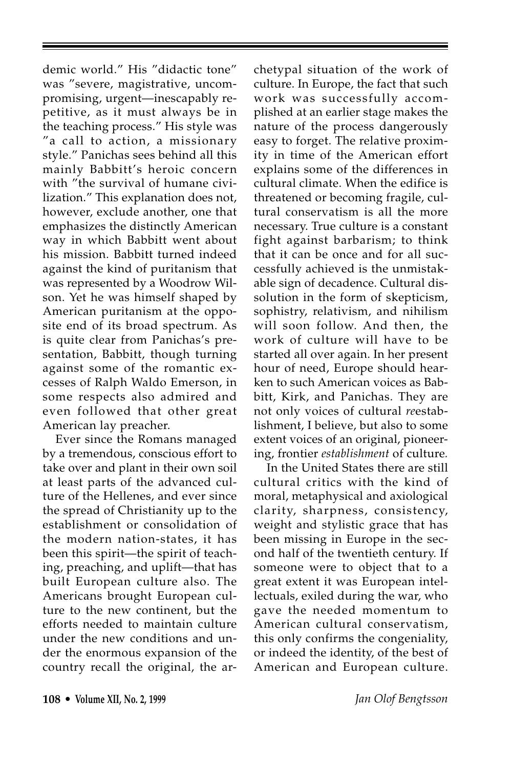demic world." His "didactic tone" was "severe, magistrative, uncompromising, urgent—inescapably repetitive, as it must always be in the teaching process." His style was "a call to action, a missionary style." Panichas sees behind all this mainly Babbitt's heroic concern with "the survival of humane civilization." This explanation does not, however, exclude another, one that emphasizes the distinctly American way in which Babbitt went about his mission. Babbitt turned indeed against the kind of puritanism that was represented by a Woodrow Wilson. Yet he was himself shaped by American puritanism at the opposite end of its broad spectrum. As is quite clear from Panichas's presentation, Babbitt, though turning against some of the romantic excesses of Ralph Waldo Emerson, in some respects also admired and even followed that other great American lay preacher.

Ever since the Romans managed by a tremendous, conscious effort to take over and plant in their own soil at least parts of the advanced culture of the Hellenes, and ever since the spread of Christianity up to the establishment or consolidation of the modern nation-states, it has been this spirit—the spirit of teaching, preaching, and uplift—that has built European culture also. The Americans brought European culture to the new continent, but the efforts needed to maintain culture under the new conditions and under the enormous expansion of the country recall the original, the archetypal situation of the work of culture. In Europe, the fact that such work was successfully accomplished at an earlier stage makes the nature of the process dangerously easy to forget. The relative proximity in time of the American effort explains some of the differences in cultural climate. When the edifice is threatened or becoming fragile, cultural conservatism is all the more necessary. True culture is a constant fight against barbarism; to think that it can be once and for all successfully achieved is the unmistakable sign of decadence. Cultural dissolution in the form of skepticism, sophistry, relativism, and nihilism will soon follow. And then, the work of culture will have to be started all over again. In her present hour of need, Europe should hearken to such American voices as Babbitt, Kirk, and Panichas. They are not only voices of cultural *re*establishment, I believe, but also to some extent voices of an original, pioneering, frontier *establishment* of culture*.*

In the United States there are still cultural critics with the kind of moral, metaphysical and axiological clarity, sharpness, consistency, weight and stylistic grace that has been missing in Europe in the second half of the twentieth century. If someone were to object that to a great extent it was European intellectuals, exiled during the war, who gave the needed momentum to American cultural conservatism, this only confirms the congeniality, or indeed the identity, of the best of American and European culture.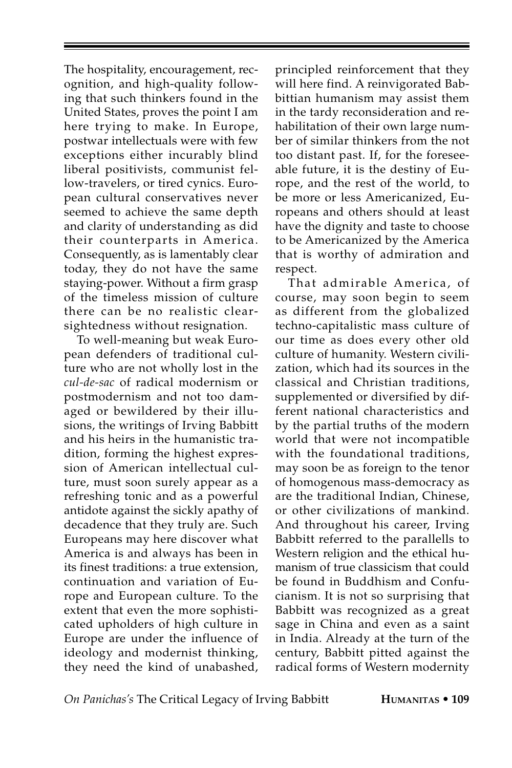The hospitality, encouragement, recognition, and high-quality following that such thinkers found in the United States, proves the point I am here trying to make. In Europe, postwar intellectuals were with few exceptions either incurably blind liberal positivists, communist fellow-travelers, or tired cynics. European cultural conservatives never seemed to achieve the same depth and clarity of understanding as did their counterparts in America. Consequently, as is lamentably clear today, they do not have the same staying-power. Without a firm grasp of the timeless mission of culture there can be no realistic clearsightedness without resignation.

To well-meaning but weak European defenders of traditional culture who are not wholly lost in the *cul-de-sac* of radical modernism or postmodernism and not too damaged or bewildered by their illusions, the writings of Irving Babbitt and his heirs in the humanistic tradition, forming the highest expression of American intellectual culture, must soon surely appear as a refreshing tonic and as a powerful antidote against the sickly apathy of decadence that they truly are. Such Europeans may here discover what America is and always has been in its finest traditions: a true extension, continuation and variation of Europe and European culture. To the extent that even the more sophisticated upholders of high culture in Europe are under the influence of ideology and modernist thinking, they need the kind of unabashed, principled reinforcement that they will here find. A reinvigorated Babbittian humanism may assist them in the tardy reconsideration and rehabilitation of their own large number of similar thinkers from the not too distant past. If, for the foreseeable future, it is the destiny of Europe, and the rest of the world, to be more or less Americanized, Europeans and others should at least have the dignity and taste to choose to be Americanized by the America that is worthy of admiration and respect.

That admirable America, of course, may soon begin to seem as different from the globalized techno-capitalistic mass culture of our time as does every other old culture of humanity. Western civilization, which had its sources in the classical and Christian traditions, supplemented or diversified by different national characteristics and by the partial truths of the modern world that were not incompatible with the foundational traditions, may soon be as foreign to the tenor of homogenous mass-democracy as are the traditional Indian, Chinese, or other civilizations of mankind. And throughout his career, Irving Babbitt referred to the parallells to Western religion and the ethical humanism of true classicism that could be found in Buddhism and Confucianism. It is not so surprising that Babbitt was recognized as a great sage in China and even as a saint in India. Already at the turn of the century, Babbitt pitted against the radical forms of Western modernity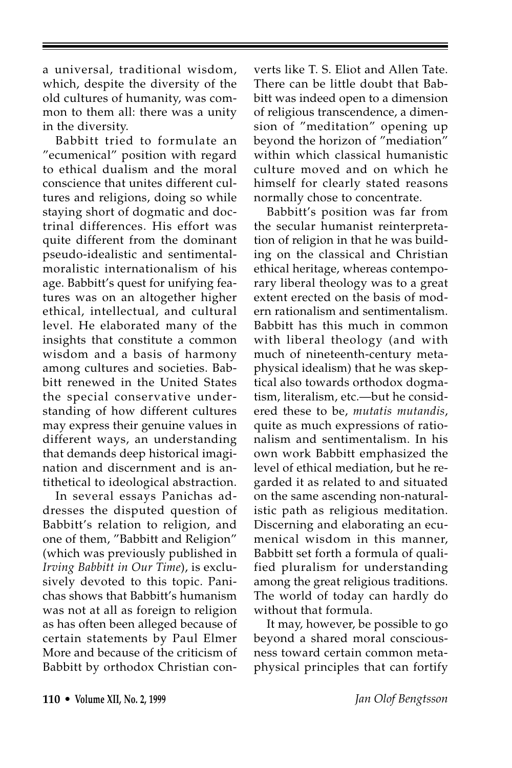a universal, traditional wisdom, which, despite the diversity of the old cultures of humanity, was common to them all: there was a unity in the diversity.

Babbitt tried to formulate an "ecumenical" position with regard to ethical dualism and the moral conscience that unites different cultures and religions, doing so while staying short of dogmatic and doctrinal differences. His effort was quite different from the dominant pseudo-idealistic and sentimentalmoralistic internationalism of his age. Babbitt's quest for unifying features was on an altogether higher ethical, intellectual, and cultural level. He elaborated many of the insights that constitute a common wisdom and a basis of harmony among cultures and societies. Babbitt renewed in the United States the special conservative understanding of how different cultures may express their genuine values in different ways, an understanding that demands deep historical imagination and discernment and is antithetical to ideological abstraction.

In several essays Panichas addresses the disputed question of Babbitt's relation to religion, and one of them, "Babbitt and Religion" (which was previously published in *Irving Babbitt in Our Time*), is exclusively devoted to this topic. Panichas shows that Babbitt's humanism was not at all as foreign to religion as has often been alleged because of certain statements by Paul Elmer More and because of the criticism of Babbitt by orthodox Christian converts like T. S. Eliot and Allen Tate. There can be little doubt that Babbitt was indeed open to a dimension of religious transcendence, a dimension of "meditation" opening up beyond the horizon of "mediation" within which classical humanistic culture moved and on which he himself for clearly stated reasons normally chose to concentrate.

Babbitt's position was far from the secular humanist reinterpretation of religion in that he was building on the classical and Christian ethical heritage, whereas contemporary liberal theology was to a great extent erected on the basis of modern rationalism and sentimentalism. Babbitt has this much in common with liberal theology (and with much of nineteenth-century metaphysical idealism) that he was skeptical also towards orthodox dogmatism, literalism, etc.—but he considered these to be, *mutatis mutandis*, quite as much expressions of rationalism and sentimentalism. In his own work Babbitt emphasized the level of ethical mediation, but he regarded it as related to and situated on the same ascending non-naturalistic path as religious meditation. Discerning and elaborating an ecumenical wisdom in this manner, Babbitt set forth a formula of qualified pluralism for understanding among the great religious traditions. The world of today can hardly do without that formula.

It may, however, be possible to go beyond a shared moral consciousness toward certain common metaphysical principles that can fortify

**110 • Volume XII, No. 2, 1999** *Jan Olof Bengtsson*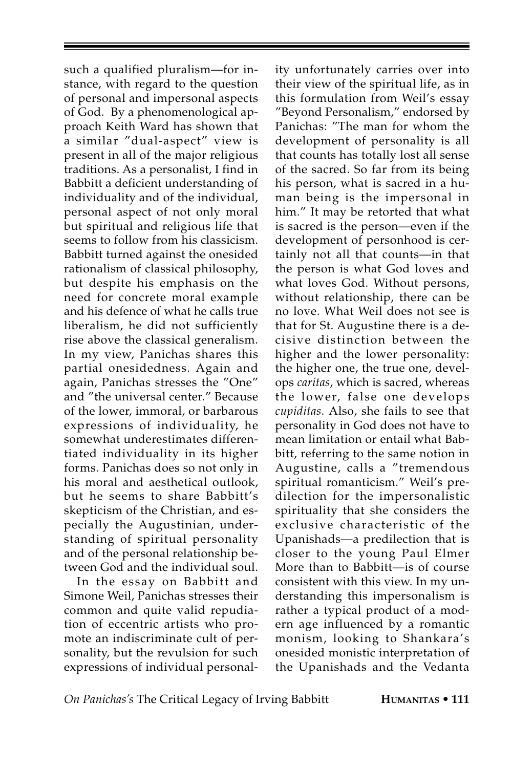such a qualified pluralism—for instance, with regard to the question of personal and impersonal aspects of God. By a phenomenological approach Keith Ward has shown that a similar "dual-aspect" view is present in all of the major religious traditions. As a personalist, I find in Babbitt a deficient understanding of individuality and of the individual, personal aspect of not only moral but spiritual and religious life that seems to follow from his classicism. Babbitt turned against the onesided rationalism of classical philosophy, but despite his emphasis on the need for concrete moral example and his defence of what he calls true liberalism, he did not sufficiently rise above the classical generalism. In my view, Panichas shares this partial onesidedness. Again and again, Panichas stresses the "One" and "the universal center." Because of the lower, immoral, or barbarous expressions of individuality, he somewhat underestimates differentiated individuality in its higher forms. Panichas does so not only in his moral and aesthetical outlook, but he seems to share Babbitt's skepticism of the Christian, and especially the Augustinian, understanding of spiritual personality and of the personal relationship between God and the individual soul.

In the essay on Babbitt and Simone Weil, Panichas stresses their common and quite valid repudiation of eccentric artists who promote an indiscriminate cult of personality, but the revulsion for such expressions of individual personality unfortunately carries over into their view of the spiritual life, as in this formulation from Weil's essay "Beyond Personalism," endorsed by Panichas: "The man for whom the development of personality is all that counts has totally lost all sense of the sacred. So far from its being his person, what is sacred in a human being is the impersonal in him." It may be retorted that what is sacred is the person—even if the development of personhood is certainly not all that counts—in that the person is what God loves and what loves God. Without persons, without relationship, there can be no love. What Weil does not see is that for St. Augustine there is a decisive distinction between the higher and the lower personality: the higher one, the true one, develops *caritas*, which is sacred, whereas the lower, false one develops *cupiditas.* Also, she fails to see that personality in God does not have to mean limitation or entail what Babbitt, referring to the same notion in Augustine, calls a "tremendous spiritual romanticism." Weil's predilection for the impersonalistic spirituality that she considers the exclusive characteristic of the Upanishads—a predilection that is closer to the young Paul Elmer More than to Babbitt—is of course consistent with this view. In my understanding this impersonalism is rather a typical product of a modern age influenced by a romantic monism, looking to Shankara's onesided monistic interpretation of the Upanishads and the Vedanta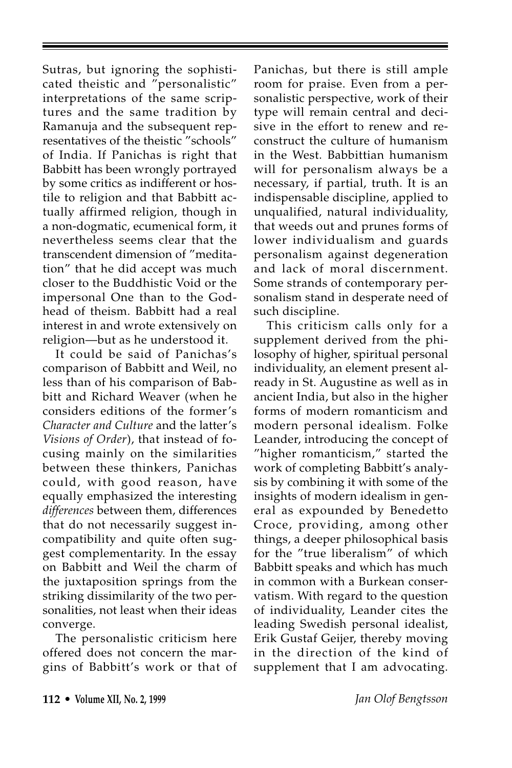Sutras, but ignoring the sophisticated theistic and "personalistic" interpretations of the same scriptures and the same tradition by Ramanuja and the subsequent representatives of the theistic "schools" of India. If Panichas is right that Babbitt has been wrongly portrayed by some critics as indifferent or hostile to religion and that Babbitt actually affirmed religion, though in a non-dogmatic, ecumenical form, it nevertheless seems clear that the transcendent dimension of "meditation" that he did accept was much closer to the Buddhistic Void or the impersonal One than to the Godhead of theism. Babbitt had a real interest in and wrote extensively on religion—but as he understood it.

It could be said of Panichas's comparison of Babbitt and Weil, no less than of his comparison of Babbitt and Richard Weaver (when he considers editions of the former's *Character and Culture* and the latter's *Visions of Order*), that instead of focusing mainly on the similarities between these thinkers, Panichas could, with good reason, have equally emphasized the interesting *differences* between them, differences that do not necessarily suggest incompatibility and quite often suggest complementarity. In the essay on Babbitt and Weil the charm of the juxtaposition springs from the striking dissimilarity of the two personalities, not least when their ideas converge.

The personalistic criticism here offered does not concern the margins of Babbitt's work or that of Panichas, but there is still ample room for praise. Even from a personalistic perspective, work of their type will remain central and decisive in the effort to renew and reconstruct the culture of humanism in the West. Babbittian humanism will for personalism always be a necessary, if partial, truth. It is an indispensable discipline, applied to unqualified, natural individuality, that weeds out and prunes forms of lower individualism and guards personalism against degeneration and lack of moral discernment. Some strands of contemporary personalism stand in desperate need of such discipline.

This criticism calls only for a supplement derived from the philosophy of higher, spiritual personal individuality, an element present already in St. Augustine as well as in ancient India, but also in the higher forms of modern romanticism and modern personal idealism. Folke Leander, introducing the concept of "higher romanticism," started the work of completing Babbitt's analysis by combining it with some of the insights of modern idealism in general as expounded by Benedetto Croce, providing, among other things, a deeper philosophical basis for the "true liberalism" of which Babbitt speaks and which has much in common with a Burkean conservatism. With regard to the question of individuality, Leander cites the leading Swedish personal idealist, Erik Gustaf Geijer, thereby moving in the direction of the kind of supplement that I am advocating.